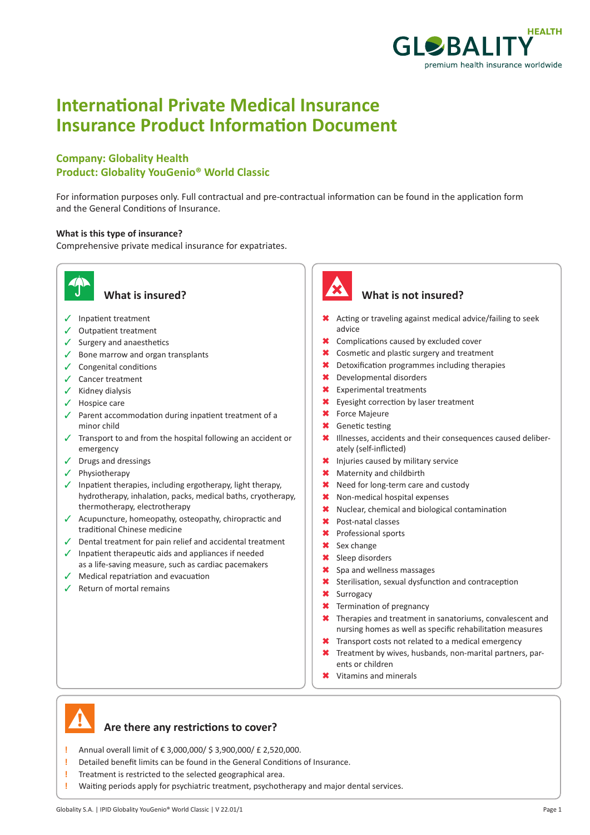

# **International Private Medical Insurance Insurance Product Information Document**

### **Company: Globality Health Product: Globality YouGenio® World Classic**

For information purposes only. Full contractual and pre-contractual information can be found in the application form and the General Conditions of Insurance.

#### **What is this type of insurance?**

Comprehensive private medical insurance for expatriates.



- $\checkmark$  Inpatient treatment
- $\checkmark$  Outpatient treatment
- $\checkmark$  Surgery and anaesthetics
- $\checkmark$  Bone marrow and organ transplants
- $\checkmark$  Congenital conditions
- $\checkmark$  Cancer treatment
- $\checkmark$  Kidney dialysis
- $\checkmark$  Hospice care
- $\checkmark$  Parent accommodation during inpatient treatment of a minor child
- $\checkmark$  Transport to and from the hospital following an accident or emergency
- $\checkmark$  Drugs and dressings
- $\checkmark$  Physiotherapy
- $\checkmark$  Inpatient therapies, including ergotherapy, light therapy, hydrotherapy, inhalation, packs, medical baths, cryotherapy, thermotherapy, electrotherapy
- $\checkmark$  Acupuncture, homeopathy, osteopathy, chiropractic and traditional Chinese medicine
- $\sqrt{ }$  Dental treatment for pain relief and accidental treatment
- $\sqrt{ }$  Inpatient therapeutic aids and appliances if needed as a life-saving measure, such as cardiac pacemakers
- $\sqrt{\phantom{a}}$  Medical repatriation and evacuation
- $\checkmark$  Return of mortal remains



#### **What is insured? What is not insured?**

- \* Acting or traveling against medical advice/failing to seek advice
- **\*** Complications caused by excluded cover
- **\*** Cosmetic and plastic surgery and treatment
- $\star$  Detoxification programmes including therapies
- \* Developmental disorders
- **\*** Experimental treatments
- **\*** Eyesight correction by laser treatment
- **\*** Force Majeure
- **\*** Genetic testing
- \* Illnesses, accidents and their consequences caused deliberately (self-inflicted)
- \* Injuries caused by military service
- \* Maternity and childbirth
- **\*** Need for long-term care and custody
- \* Non-medical hospital expenses
- $*$  Nuclear, chemical and biological contamination
- \* Post-natal classes
- 6 Professional sports
- **\*** Sex change
- **\*** Sleep disorders
- \* Spa and wellness massages
- **\*** Sterilisation, sexual dysfunction and contraception
- **\*** Surrogacy
- **\*** Termination of pregnancy
- $*$  Therapies and treatment in sanatoriums, convalescent and nursing homes as well as specific rehabilitation measures
- **\*** Transport costs not related to a medical emergency
- **\*** Treatment by wives, husbands, non-marital partners, parents or children
- $\angle$  Vitamins and minerals



#### **Are there any restrictions to cover?**

- **!** Annual overall limit of € 3,000,000/ \$ 3,900,000/ £ 2,520,000.
- **!** Detailed benefit limits can be found in the General Conditions of Insurance.
- **!** Treatment is restricted to the selected geographical area.
- **!** Waiting periods apply for psychiatric treatment, psychotherapy and major dental services.